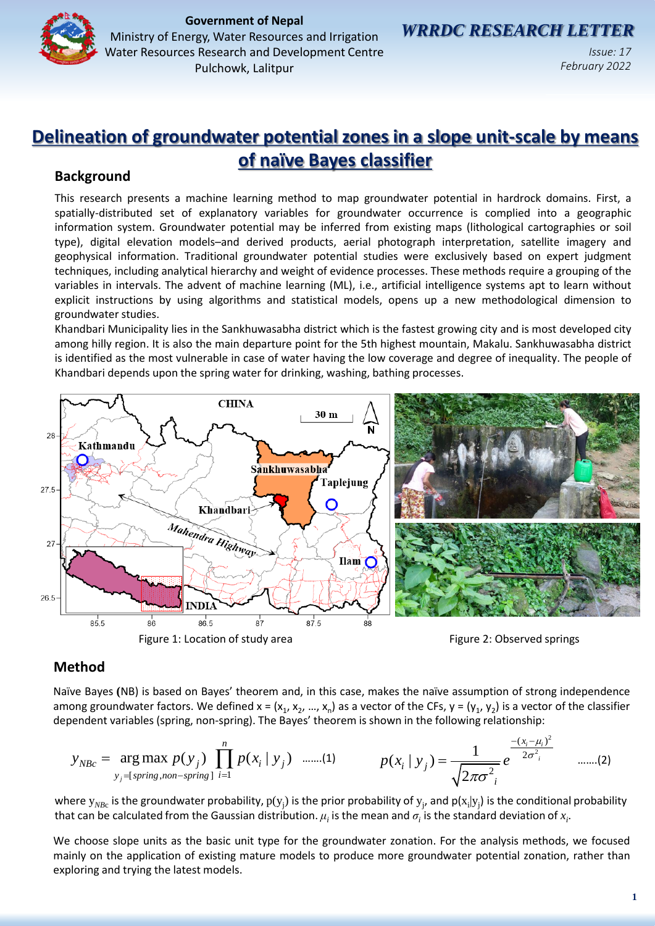

**Government of Nepal**<br>**GOVERNMENT DOCUSSOR ON UNISTICAL WRRDC RESEARCH LETTER** Ministry of Energy, Water Resources and Irrigation Water Resources Research and Development Centre

Pulchowk, Lalitpur

*Issue: 17 February 2022*

# **Delineation of groundwater potential zones in a slope unit-scale by means of naïve Bayes classifier**

# **Background**

This research presents a machine learning method to map groundwater potential in hardrock domains. First, a spatially-distributed set of explanatory variables for groundwater occurrence is complied into a geographic information system. Groundwater potential may be inferred from existing maps (lithological cartographies or soil type), digital elevation models–and derived products, aerial photograph interpretation, satellite imagery and geophysical information. Traditional groundwater potential studies were exclusively based on expert judgment techniques, including analytical hierarchy and weight of evidence processes. These methods require a grouping of the variables in intervals. The advent of machine learning (ML), i.e., artificial intelligence systems apt to learn without explicit instructions by using algorithms and statistical models, opens up a new methodological dimension to groundwater studies.

Khandbari Municipality lies in the Sankhuwasabha district which is the fastest growing city and is most developed city among hilly region. It is also the main departure point for the 5th highest mountain, Makalu. Sankhuwasabha district is identified as the most vulnerable in case of water having the low coverage and degree of inequality. The people of Khandbari depends upon the spring water for drinking, washing, bathing processes.



## Figure 1: Location of study area

Figure 2: Observed springs

# **Method**

Naïve Bayes **(**NB) is based on Bayes' theorem and, in this case, makes the naïve assumption of strong independence among groundwater factors. We defined x = (x<sub>1</sub>, x<sub>2</sub>, ..., x<sub>n</sub>) as a vector of the CFs, y = (y<sub>1</sub>, y<sub>2</sub>) is a vector of the classifier dependent variables (spring, non-spring). The Bayes' theorem is shown in the following relationship:

$$
y_{NBC} = \arg \max_{y_j = \text{[spring, non-spring]}} p(y_j) \prod_{i=1}^n p(x_i | y_j) \quad \text{......(1)} \quad p(x_i | y_j) = \frac{1}{\sqrt{2\pi\sigma^2_i}} e^{\frac{-(x_i - \mu_i)^2}{2\sigma^2_i}} \quad \text{......(2)}
$$

where  $y_{NBC}$  is the groundwater probability,  $p(y_j)$  is the prior probability of  $y_j$ , and  $p(x_j|y_j)$  is the conditional probability that can be calculated from the Gaussian distribution.  $\mu_i$  is the mean and  $\sigma_i$  is the standard deviation of  $x_i$ .

We choose slope units as the basic unit type for the groundwater zonation. For the analysis methods, we focused mainly on the application of existing mature models to produce more groundwater potential zonation, rather than exploring and trying the latest models.